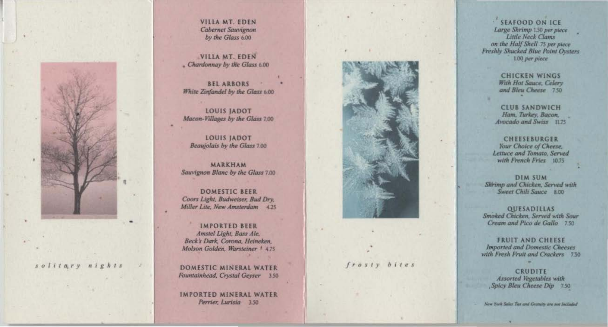

solitary nights

VILLA MT. EDEN **Cabernet Sauvignon** by the Glass 6.00

VILLA MT. EDEN - Chardonnay by the Glass 6.00

**BEL ARBORS** White Zinfandel by the Glass 6.00

**LOUIS JADOT** Macon-Villages by the Glass 7.00

**LOUIS JADOT** Beaujolais by the Glass 7.00

**MARKHAM** Sauvignon Blanc by the Glass 7.00

**DOMESTIC BEER** Coors Light, Budweiser, Bud Dry, Miller Lite, New Amsterdam 425

**IMPORTED BEER** Amstel Light, Bass Ale, Beck's Dark, Corona, Heineken, Molson Golden, Warsteiner 1 4.75

DOMESTIC MINERAL WATER Fountainhead, Crystal Geyser 3.50

IMPORTED MINERAL WATER Perrier, Lurisia 3.50



## $f \r o s t y b i t e s$

×

**SEAFOOD ON ICE** Large Shrimp 150 per piece<br>Little Neck Clams on the Half Shell 75 per piece Freshly Shucked Blue Point Ovsters 1.00 per piece

> **CHICKEN WINGS** With Hot Sauce, Celery and Bleu Cheese 7.50

**CLUB SANDWICH** Ham, Turkey, Bacon, Avocado and Swiss 11.75

**CHEESEBURGER** Your Choice of Cheese, Lettuce and Tomato, Served with French Fries 10.75

**DIM SUM** Shrimp and Chicken, Served with Sweet Chili Sauce 8.00

QUESADILLAS Smoked Chicken, Served with Sour Cream and Pico de Gallo 750

**FRUIT AND CHEESE Imported and Domestic Cheeses** with Fresh Fruit and Crackers 7.50

**CRUDITE** Assorted Vegetables with Spicy Bleu Cheese Dip 7.50

New York Sales Tax and Gratuity are not Included